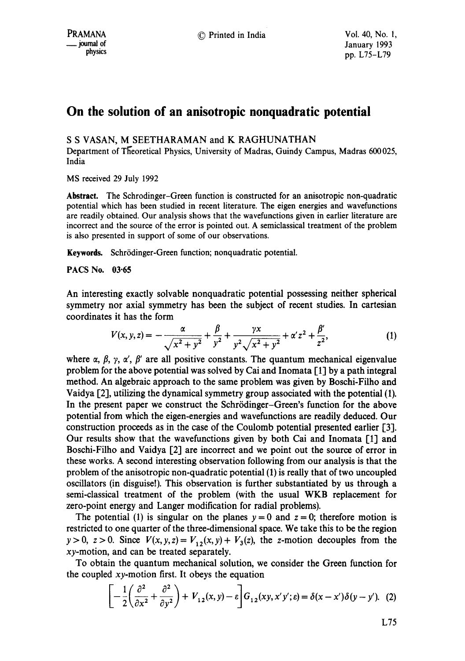## **On the solution of an anisotropic nonquadratic potential**

## S S VASAN, M SEETHARAMAN and K RAGHUNATHAN

Department of Theoretical Physics, University of Madras, Guindy Campus, Madras 600 025, India

MS received 29 July 1992

Abstract. The Schrodinger-Green function is constructed for an anisotropic non-quadratic potential which has been studied in recent literature. The eigen energies and wavefunctions are readily obtained. Our analysis shows that the wavefunctions given in earlier literature are incorrect and the source of the error is pointed out. A semiclassical treatment of the problem is also presented in support of some of our observations.

Keywords. Schrödinger-Green function; nonquadratic potential.

PACS No. 03.65

An interesting exactly solvable nonquadratic potential possessing neither spherical symmetry nor axial symmetry has been the subject of recent studies. In cartesian coordinates it has the form

$$
V(x, y, z) = -\frac{\alpha}{\sqrt{x^2 + y^2}} + \frac{\beta}{y^2} + \frac{\gamma x}{y^2 \sqrt{x^2 + y^2}} + \alpha' z^2 + \frac{\beta'}{z^2},
$$
(1)

where  $\alpha$ ,  $\beta$ ,  $\gamma$ ,  $\alpha'$ ,  $\beta'$  are all positive constants. The quantum mechanical eigenvalue problem for the above potential was solved by Cai and Inomata [1] by a path integral method. An algebraic approach to the same problem was given by Boschi-Filho and Vaidya [2], utilizing the dynamical symmetry group associated with the potential (1). In the present paper we construct the Schrödinger-Green's function for the above potential from which the eigen-energies and wavefunctions are readily deduced. Our construction proceeds as in the case of the Coulomb potential presented earlier [3]. Our results show that the wavefunctions given by both Cai and Inomata  $\lceil 1 \rceil$  and Boschi-Filho and Vaidya [2] are incorrect and we point out the source of error in these works. A second interesting observation following from our analysis is that the problem of the anisotropic non-quadratic potential (1) is really that of two uncoupled oscillators (in disguise!). This observation is further substantiated by us through a semi-classical treatment of the problem (with the usual WKB replacement for zero-point energy and Langer modification for radial problems).

The potential (1) is singular on the planes  $y = 0$  and  $z = 0$ ; therefore motion is restricted to one quarter of the three-dimensional space. We take this to be the region  $y>0$ ,  $z>0$ . Since  $V(x, y, z) = V_{1,2}(x, y) + V_3(z)$ , the z-motion decouples from the xy-motion, and can be treated separately.

To obtain the quantum mechanical solution, we consider the Green function for the coupled  $xy$ -motion first. It obeys the equation

$$
\left[-\frac{1}{2}\left(\frac{\partial^2}{\partial x^2} + \frac{\partial^2}{\partial y^2}\right) + V_{12}(x, y) - \varepsilon\right] G_{12}(xy, x'y'; \varepsilon) = \delta(x - x')\delta(y - y'). \tag{2}
$$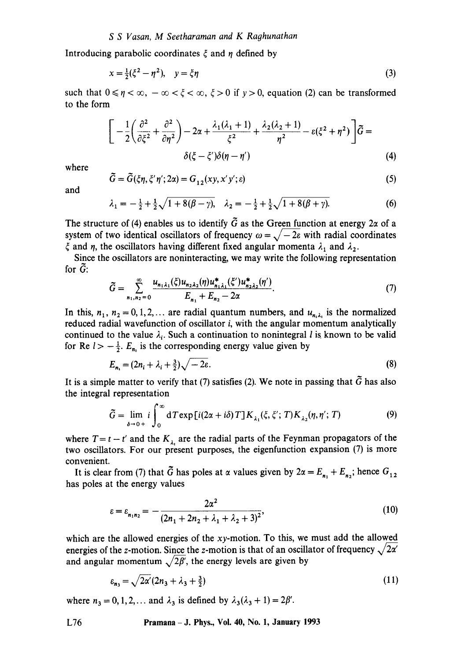## *S S Vasan, M Seetharaman and K Raghunathan*

Introducing parabolic coordinates  $\xi$  and  $\eta$  defined by

$$
x = \frac{1}{2}(\xi^2 - \eta^2), \quad y = \xi \eta
$$
 (3)

such that  $0 \le \eta < \infty$ ,  $-\infty < \xi < \infty$ ,  $\xi > 0$  if  $y > 0$ , equation (2) can be transformed to the form

$$
\left[ -\frac{1}{2} \left( \frac{\partial^2}{\partial \xi^2} + \frac{\partial^2}{\partial \eta^2} \right) - 2\alpha + \frac{\lambda_1(\lambda_1 + 1)}{\xi^2} + \frac{\lambda_2(\lambda_2 + 1)}{\eta^2} - \varepsilon(\xi^2 + \eta^2) \right] \widetilde{G} =
$$
  

$$
\delta(\xi - \xi')\delta(\eta - \eta')
$$
 (4)

where

$$
\tilde{G} = \tilde{G}(\xi \eta, \xi' \eta'; 2\alpha) = G_{12}(xy, x'y'; \varepsilon)
$$
\n(5)

and

$$
\lambda_1 = -\frac{1}{2} + \frac{1}{2}\sqrt{1 + 8(\beta - \gamma)}, \quad \lambda_2 = -\frac{1}{2} + \frac{1}{2}\sqrt{1 + 8(\beta + \gamma)}.
$$
 (6)

The structure of (4) enables us to identify  $\tilde{G}$  as the Green function at energy 2 $\alpha$  of a system of two identical oscillators of frequency  $\omega = \sqrt{-2\varepsilon}$  with radial coordinates  $\xi$  and  $\eta$ , the oscillators having different fixed angular momenta  $\lambda_1$  and  $\lambda_2$ .

Since the oscillators are noninteracting, we may write the following representation for  $\tilde{G}$ :

$$
\widetilde{G} = \sum_{n_1, n_2=0}^{\infty} \frac{u_{n_1 \lambda_1}(\xi) u_{n_2 \lambda_2}(\eta) u_{n_1 \lambda_1}^*(\xi') u_{n_2 \lambda_2}^*(\eta')}{E_{n_1} + E_{n_2} - 2\alpha}.
$$
\n(7)

In this,  $n_1$ ,  $n_2 = 0, 1, 2,...$  are radial quantum numbers, and  $u_{n,\lambda}$  is the normalized reduced radial wavefunction of oscillator i, with the angular momentum analytically continued to the value  $\lambda_i$ . Such a continuation to nonintegral l is known to be valid for Re  $l> -\frac{1}{2}$ .  $E_{n}$  is the corresponding energy value given by

$$
E_{n_i} = (2n_i + \lambda_i + \frac{3}{2})\sqrt{-2\varepsilon}.
$$
 (8)

It is a simple matter to verify that (7) satisfies (2). We note in passing that  $\tilde{G}$  has also the integral representation

$$
\tilde{G} = \lim_{\delta \to 0+} i \int_0^\infty dT \exp[i(2\alpha + i\delta) T] K_{\lambda_1}(\xi, \xi'; T) K_{\lambda_2}(\eta, \eta'; T)
$$
\n(9)

where  $T = t - t'$  and the  $K_{\lambda}$  are the radial parts of the Feynman propagators of the two oscillators. For our present purposes, the eigenfunction expansion (7) is more convenient.

It is clear from (7) that  $\tilde{G}$  has poles at  $\alpha$  values given by  $2\alpha = E_{n_1} + E_{n_2}$ ; hence  $G_{12}$ has poles at the energy values

$$
\varepsilon = \varepsilon_{n_1 n_2} = -\frac{2\alpha^2}{(2n_1 + 2n_2 + \lambda_1 + \lambda_2 + 3)^2},\tag{10}
$$

which are the allowed energies of the  $xy$ -motion. To this, we must add the allowed energies of the z-motion. Since the z-motion is that of an oscillator of frequency  $\sqrt{2\alpha'}$ and angular momentum  $\sqrt{2\beta'}$ , the energy levels are given by

$$
\varepsilon_{n_3} = \sqrt{2\alpha'} (2n_3 + \lambda_3 + \frac{3}{2}) \tag{11}
$$

where  $n_3 = 0, 1, 2, \ldots$  and  $\lambda_3$  is defined by  $\lambda_3(\lambda_3 + 1) = 2\beta'$ .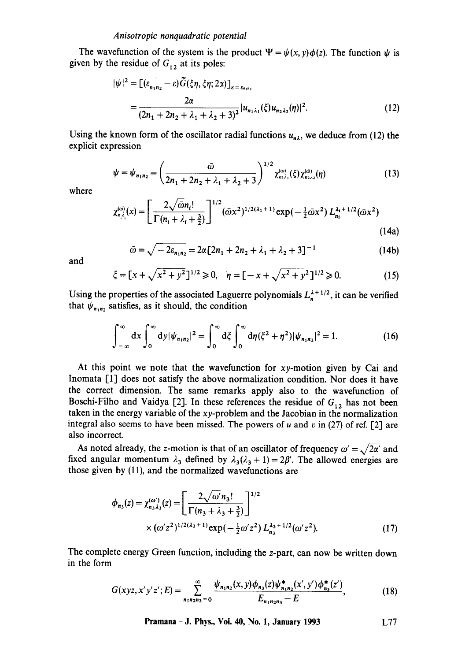The wavefunction of the system is the product  $\Psi = \psi(x, y)\phi(z)$ . The function  $\psi$  is given by the residue of  $G_{12}$  at its poles:

$$
|\psi|^2 = [(\varepsilon_{n_1 n_2} - \varepsilon) \tilde{G}(\xi \eta, \xi \eta; 2\alpha)]_{\varepsilon = \varepsilon_{n_1 n_2}}
$$
  
= 
$$
\frac{2\alpha}{(2n_1 + 2n_2 + \lambda_1 + \lambda_2 + 3)^2} |u_{n_1 \lambda_1}(\xi) u_{n_2 \lambda_2}(\eta)|^2.
$$
 (12)

Using the known form of the oscillator radial functions  $u_{n\lambda}$ , we deduce from (12) the explicit expression

$$
\psi = \psi_{n_1 n_2} = \left(\frac{\bar{\omega}}{2n_1 + 2n_2 + \lambda_1 + \lambda_2 + 3}\right)^{1/2} \chi_{n_1 \lambda_1}^{(\bar{\omega})}(\xi) \chi_{n_2 \lambda_2}^{(\bar{\omega})}(\eta) \tag{13}
$$

where

$$
\chi_{n,\lambda_i}^{(\tilde{\omega})}(x) = \left[ \frac{2\sqrt{\tilde{\omega}}n_i!}{\Gamma(n_i + \lambda_i + \frac{3}{2})} \right]^{1/2} (\tilde{\omega}x^2)^{1/2(\lambda_1 + 1)} \exp\left(-\frac{1}{2}\tilde{\omega}x^2\right) L_{n_i}^{\lambda_i + 1/2}(\tilde{\omega}x^2)
$$
\n(14a)

$$
\bar{\omega} = \sqrt{-2\varepsilon_{n_1 n_2}} = 2\alpha [2n_1 + 2n_2 + \lambda_1 + \lambda_2 + 3]^{-1}
$$
 (14b)

and

$$
\xi = [x + \sqrt{x^2 + y^2}]^{1/2} \ge 0, \quad \eta = [-x + \sqrt{x^2 + y^2}]^{1/2} \ge 0. \tag{15}
$$

Using the properties of the associated Laguerre polynomials  $L_n^{\lambda+1/2}$ , it can be verified that  $\psi_{n_1n_2}$  satisfies, as it should, the condition

$$
\int_{-\infty}^{\infty} dx \int_{0}^{\infty} dy |\psi_{n_1 n_2}|^2 = \int_{0}^{\infty} d\xi \int_{0}^{\infty} d\eta (\xi^2 + \eta^2) |\psi_{n_1 n_2}|^2 = 1.
$$
 (16)

At this point we note that the wavefunction for xy-motion given by Cai and Inomata [1] does not satisfy the above normalization condition. Nor does it have the correct dimension. The same remarks apply also to the wavefunction of Boschi-Filho and Vaidya [2]. In these references the residue of  $G_{12}$  has not been taken in the energy variable of the xy-problem and the Jacobian in the normalization integral also seems to have been missed. The powers of u and v in (27) of ref. [2] are also incorrect.

As noted already, the z-motion is that of an oscillator of frequency  $\omega' = \sqrt{2\alpha'}$  and fixed angular momentum  $\lambda_3$  defined by  $\lambda_3(\lambda_3 + 1) = 2\beta'$ . The allowed energies are those given by (11), and the normalized wavefunctions are

$$
\phi_{n_3}(z) = \chi_{n_3\lambda_3}^{(\omega)}(z) = \left[ \frac{2\sqrt{\omega'}n_3!}{\Gamma(n_3 + \lambda_3 + \frac{3}{2})} \right]^{1/2} \times (\omega' z^2)^{1/2(\lambda_3 + 1)} \exp\left(-\frac{1}{2}\omega' z^2\right) L_{n_3}^{\lambda_3 + 1/2}(\omega' z^2). \tag{17}
$$

The complete energy Green function, including the z-part, can now be written down in the form

$$
G(xyz, x'y'z'; E) = \sum_{n_1n_2n_3=0}^{\infty} \frac{\psi_{n_1n_2}(x, y)\phi_{n_3}(z)\psi_{n_1n_2}^*(x', y')\phi_{n_3}^*(z')}{E_{n_1n_2n_3} - E},
$$
(18)

**Pramana- J. Phys., Vol. 40, No. 1, January 1993 L77**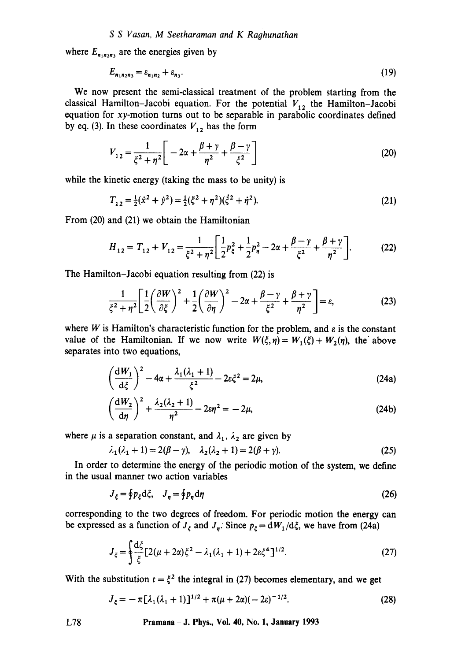where  $E_{n_1n_2n_3}$  are the energies given by

$$
E_{n_1n_2n_3} = \varepsilon_{n_1n_2} + \varepsilon_{n_3}.\tag{19}
$$

We now present the semi-classical treatment of the problem starting from the classical Hamilton-Jacobi equation. For the potential  $V_{12}$  the Hamilton-Jacobi equation for xy-motion turns out to be separable in parabolic coordinates defined by eq. (3). In these coordinates  $V_{12}$  has the form

$$
V_{12} = \frac{1}{\xi^2 + \eta^2} \bigg[ -2\alpha + \frac{\beta + \gamma}{\eta^2} + \frac{\beta - \gamma}{\xi^2} \bigg] \tag{20}
$$

while the kinetic energy (taking the mass to be unity) is

$$
T_{12} = \frac{1}{2}(\dot{x}^2 + \dot{y}^2) = \frac{1}{2}(\xi^2 + \eta^2)(\dot{\xi}^2 + \dot{\eta}^2). \tag{21}
$$

From (20) and (21) we obtain the Hamiltonian

$$
H_{12} = T_{12} + V_{12} = \frac{1}{\xi^2 + \eta^2} \left[ \frac{1}{2} p_{\xi}^2 + \frac{1}{2} p_{\eta}^2 - 2\alpha + \frac{\beta - \gamma}{\xi^2} + \frac{\beta + \gamma}{\eta^2} \right].
$$
 (22)

The Hamilton-Jacobi equation resulting from (22) is

$$
\frac{1}{\xi^2 + \eta^2} \left[ \frac{1}{2} \left( \frac{\partial W}{\partial \xi} \right)^2 + \frac{1}{2} \left( \frac{\partial W}{\partial \eta} \right)^2 - 2\alpha + \frac{\beta - \gamma}{\xi^2} + \frac{\beta + \gamma}{\eta^2} \right] = \varepsilon, \tag{23}
$$

where W is Hamilton's characteristic function for the problem, and  $\varepsilon$  is the constant value of the Hamiltonian. If we now write  $W(\xi, \eta) = W_1(\xi) + W_2(\eta)$ , the above separates into two equations,

$$
\left(\frac{\mathrm{d}W_1}{\mathrm{d}\xi}\right)^2 - 4\alpha + \frac{\lambda_1(\lambda_1 + 1)}{\xi^2} - 2\varepsilon \xi^2 = 2\mu,\tag{24a}
$$

$$
\left(\frac{\mathrm{d}W_2}{\mathrm{d}\eta}\right)^2 + \frac{\lambda_2(\lambda_2 + 1)}{\eta^2} - 2\varepsilon\eta^2 = -2\mu,\tag{24b}
$$

where  $\mu$  is a separation constant, and  $\lambda_1$ ,  $\lambda_2$  are given by

$$
\lambda_1(\lambda_1 + 1) = 2(\beta - \gamma), \quad \lambda_2(\lambda_2 + 1) = 2(\beta + \gamma). \tag{25}
$$

In order to determine the energy of the periodic motion of the system, we define in the usual manner two action variables

$$
J_{\xi} = \oint p_{\xi} d\xi, \quad J_{\eta} = \oint p_{\eta} d\eta \tag{26}
$$

corresponding to the two degrees of freedom. For periodic motion the energy can be expressed as a function of  $J_{\xi}$  and  $J_{\eta}$ . Since  $p_{\xi} = dW_1/d\xi$ , we have from (24a)

$$
J_{\xi} = \oint \frac{d\xi}{\xi} [2(\mu + 2\alpha)\xi^2 - \lambda_1(\lambda_1 + 1) + 2\varepsilon\xi^4]^{1/2}.
$$
 (27)

With the substitution  $t = \zeta^2$  the integral in (27) becomes elementary, and we get

$$
J_{\xi} = -\pi [\lambda_1 (\lambda_1 + 1)]^{1/2} + \pi (\mu + 2\alpha)(-2\varepsilon)^{-1/2}.
$$
 (28)

L78 Pramana- J. Phys., Vol. 40, No. 1, January 1993